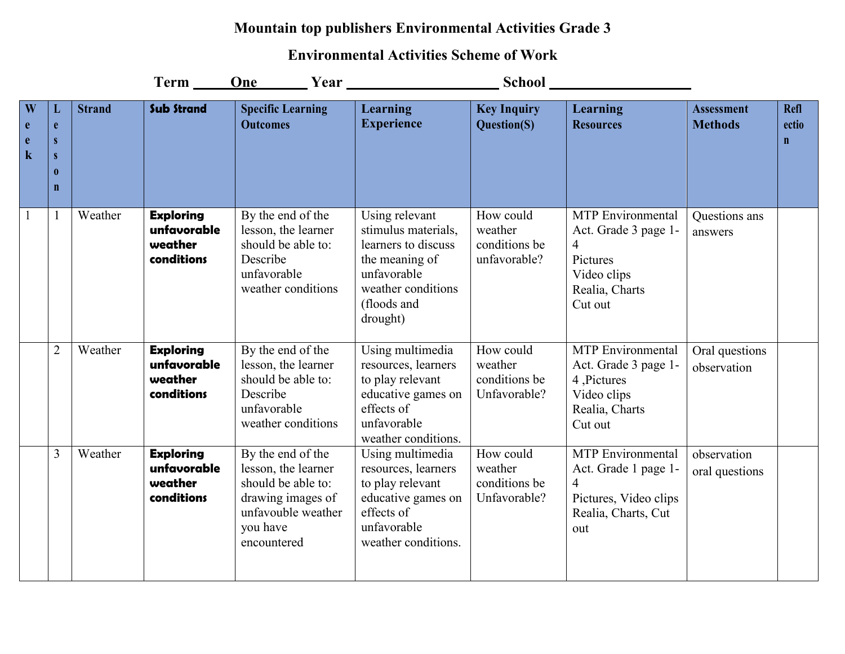## **Mountain top publishers Environmental Activities Grade 3**

## **Environmental Activities Scheme of Work**

|                                                                   |                                        |               | Term __                                                  | One<br>$\frac{1}{2}$ Year $\frac{1}{2}$                                                                                              |                                                                                                                                                | <b>School</b>                                         |                                                                                                               |                                     |                                     |
|-------------------------------------------------------------------|----------------------------------------|---------------|----------------------------------------------------------|--------------------------------------------------------------------------------------------------------------------------------------|------------------------------------------------------------------------------------------------------------------------------------------------|-------------------------------------------------------|---------------------------------------------------------------------------------------------------------------|-------------------------------------|-------------------------------------|
| $\overline{\textbf{W}}$<br>$\mathbf{e}$<br>$\mathbf e$<br>$\bf k$ | e<br>S<br>S<br>$\bf{0}$<br>$\mathbf n$ | <b>Strand</b> | <b>Sub Strand</b>                                        | <b>Specific Learning</b><br><b>Outcomes</b>                                                                                          | <b>Learning</b><br><b>Experience</b>                                                                                                           | <b>Key Inquiry</b><br>Question(S)                     | Learning<br><b>Resources</b>                                                                                  | <b>Assessment</b><br><b>Methods</b> | <b>Refl</b><br>ectio<br>$\mathbf n$ |
|                                                                   | $\mathbf{1}$                           | Weather       | <b>Exploring</b><br>unfavorable<br>weather<br>conditions | By the end of the<br>lesson, the learner<br>should be able to:<br>Describe<br>unfavorable<br>weather conditions                      | Using relevant<br>stimulus materials,<br>learners to discuss<br>the meaning of<br>unfavorable<br>weather conditions<br>(floods and<br>drought) | How could<br>weather<br>conditions be<br>unfavorable? | <b>MTP</b> Environmental<br>Act. Grade 3 page 1-<br>4<br>Pictures<br>Video clips<br>Realia, Charts<br>Cut out | Questions ans<br>answers            |                                     |
|                                                                   | $\overline{2}$                         | Weather       | <b>Exploring</b><br>unfavorable<br>weather<br>conditions | By the end of the<br>lesson, the learner<br>should be able to:<br>Describe<br>unfavorable<br>weather conditions                      | Using multimedia<br>resources, learners<br>to play relevant<br>educative games on<br>effects of<br>unfavorable<br>weather conditions.          | How could<br>weather<br>conditions be<br>Unfavorable? | <b>MTP</b> Environmental<br>Act. Grade 3 page 1-<br>4, Pictures<br>Video clips<br>Realia, Charts<br>Cut out   | Oral questions<br>observation       |                                     |
|                                                                   | $\overline{3}$                         | Weather       | <b>Exploring</b><br>unfavorable<br>weather<br>conditions | By the end of the<br>lesson, the learner<br>should be able to:<br>drawing images of<br>unfavouble weather<br>you have<br>encountered | Using multimedia<br>resources, learners<br>to play relevant<br>educative games on<br>effects of<br>unfavorable<br>weather conditions.          | How could<br>weather<br>conditions be<br>Unfavorable? | <b>MTP</b> Environmental<br>Act. Grade 1 page 1-<br>4<br>Pictures, Video clips<br>Realia, Charts, Cut<br>out  | observation<br>oral questions       |                                     |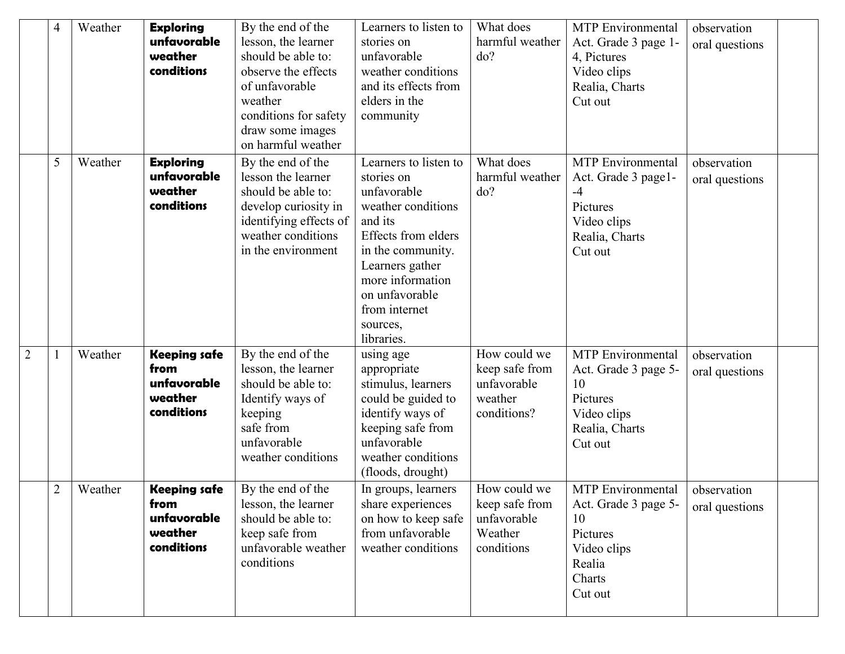|                | $\overline{4}$ | Weather | <b>Exploring</b><br>unfavorable<br>weather<br>conditions            | By the end of the<br>lesson, the learner<br>should be able to:<br>observe the effects<br>of unfavorable<br>weather<br>conditions for safety<br>draw some images                   | Learners to listen to<br>stories on<br>unfavorable<br>weather conditions<br>and its effects from<br>elders in the<br>community                                                                                                             | What does<br>harmful weather<br>do?                                     | <b>MTP</b> Environmental<br>Act. Grade 3 page 1-<br>4, Pictures<br>Video clips<br>Realia, Charts<br>Cut out      | observation<br>oral questions |  |
|----------------|----------------|---------|---------------------------------------------------------------------|-----------------------------------------------------------------------------------------------------------------------------------------------------------------------------------|--------------------------------------------------------------------------------------------------------------------------------------------------------------------------------------------------------------------------------------------|-------------------------------------------------------------------------|------------------------------------------------------------------------------------------------------------------|-------------------------------|--|
|                | 5              | Weather | <b>Exploring</b><br>unfavorable<br>weather<br>conditions            | on harmful weather<br>By the end of the<br>lesson the learner<br>should be able to:<br>develop curiosity in<br>identifying effects of<br>weather conditions<br>in the environment | Learners to listen to<br>stories on<br>unfavorable<br>weather conditions<br>and its<br><b>Effects from elders</b><br>in the community.<br>Learners gather<br>more information<br>on unfavorable<br>from internet<br>sources,<br>libraries. | What does<br>harmful weather<br>do?                                     | <b>MTP</b> Environmental<br>Act. Grade 3 page1-<br>$-4$<br>Pictures<br>Video clips<br>Realia, Charts<br>Cut out  | observation<br>oral questions |  |
| $\overline{2}$ |                | Weather | <b>Keeping safe</b><br>from<br>unfavorable<br>weather<br>conditions | By the end of the<br>lesson, the learner<br>should be able to:<br>Identify ways of<br>keeping<br>safe from<br>unfavorable<br>weather conditions                                   | using age<br>appropriate<br>stimulus, learners<br>could be guided to<br>identify ways of<br>keeping safe from<br>unfavorable<br>weather conditions<br>(floods, drought)                                                                    | How could we<br>keep safe from<br>unfavorable<br>weather<br>conditions? | <b>MTP</b> Environmental<br>Act. Grade 3 page 5-<br>10<br>Pictures<br>Video clips<br>Realia, Charts<br>Cut out   | observation<br>oral questions |  |
|                | $\overline{2}$ | Weather | <b>Keeping safe</b><br>from<br>unfavorable<br>weather<br>conditions | By the end of the<br>lesson, the learner<br>should be able to:<br>keep safe from<br>unfavorable weather<br>conditions                                                             | In groups, learners<br>share experiences<br>on how to keep safe<br>from unfavorable<br>weather conditions                                                                                                                                  | How could we<br>keep safe from<br>unfavorable<br>Weather<br>conditions  | <b>MTP</b> Environmental<br>Act. Grade 3 page 5-<br>10<br>Pictures<br>Video clips<br>Realia<br>Charts<br>Cut out | observation<br>oral questions |  |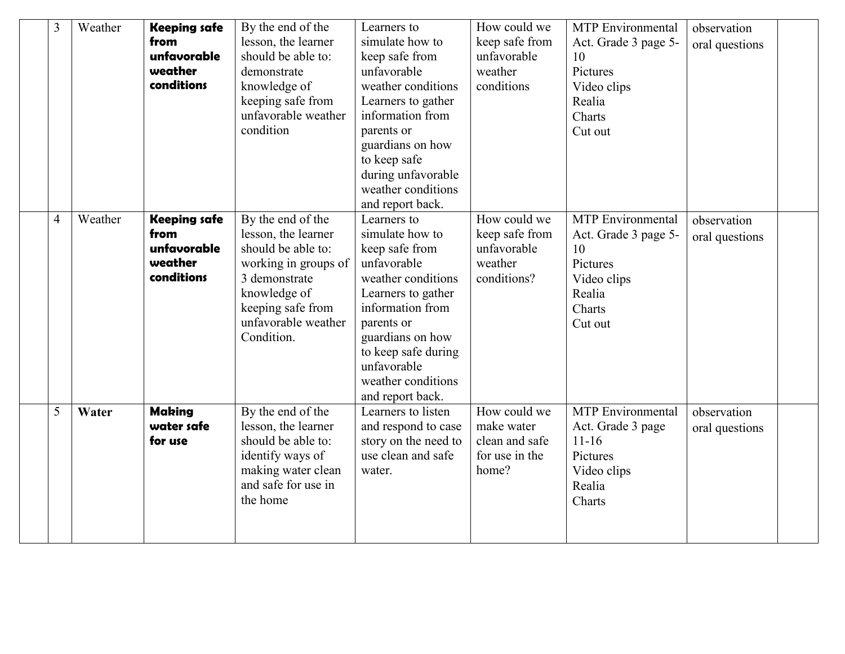| 3              | Weather | <b>Keeping safe</b><br>from<br>unfavorable<br>weather<br>conditions | By the end of the<br>lesson, the learner<br>should be able to:<br>demonstrate<br>knowledge of<br>keeping safe from<br>unfavorable weather<br>condition                            | Learners to<br>simulate how to<br>keep safe from<br>unfavorable<br>weather conditions<br>Learners to gather<br>information from<br>parents or<br>guardians on how<br>to keep safe<br>during unfavorable<br>weather conditions<br>and report back. | How could we<br>keep safe from<br>unfavorable<br>weather<br>conditions  | <b>MTP</b> Environmental<br>Act. Grade 3 page 5-<br>10<br>Pictures<br>Video clips<br>Realia<br>Charts<br>Cut out | observation<br>oral questions |  |
|----------------|---------|---------------------------------------------------------------------|-----------------------------------------------------------------------------------------------------------------------------------------------------------------------------------|---------------------------------------------------------------------------------------------------------------------------------------------------------------------------------------------------------------------------------------------------|-------------------------------------------------------------------------|------------------------------------------------------------------------------------------------------------------|-------------------------------|--|
| $\overline{4}$ | Weather | <b>Keeping safe</b><br>from<br>unfavorable<br>weather<br>conditions | By the end of the<br>lesson, the learner<br>should be able to:<br>working in groups of<br>3 demonstrate<br>knowledge of<br>keeping safe from<br>unfavorable weather<br>Condition. | Learners to<br>simulate how to<br>keep safe from<br>unfavorable<br>weather conditions<br>Learners to gather<br>information from<br>parents or<br>guardians on how<br>to keep safe during<br>unfavorable<br>weather conditions<br>and report back. | How could we<br>keep safe from<br>unfavorable<br>weather<br>conditions? | <b>MTP</b> Environmental<br>Act. Grade 3 page 5-<br>10<br>Pictures<br>Video clips<br>Realia<br>Charts<br>Cut out | observation<br>oral questions |  |
| 5              | Water   | <b>Making</b><br>water safe<br>for use                              | By the end of the<br>lesson, the learner<br>should be able to:<br>identify ways of<br>making water clean<br>and safe for use in<br>the home                                       | Learners to listen<br>and respond to case<br>story on the need to<br>use clean and safe<br>water.                                                                                                                                                 | How could we<br>make water<br>clean and safe<br>for use in the<br>home? | <b>MTP</b> Environmental<br>Act. Grade 3 page<br>$11 - 16$<br>Pictures<br>Video clips<br>Realia<br>Charts        | observation<br>oral questions |  |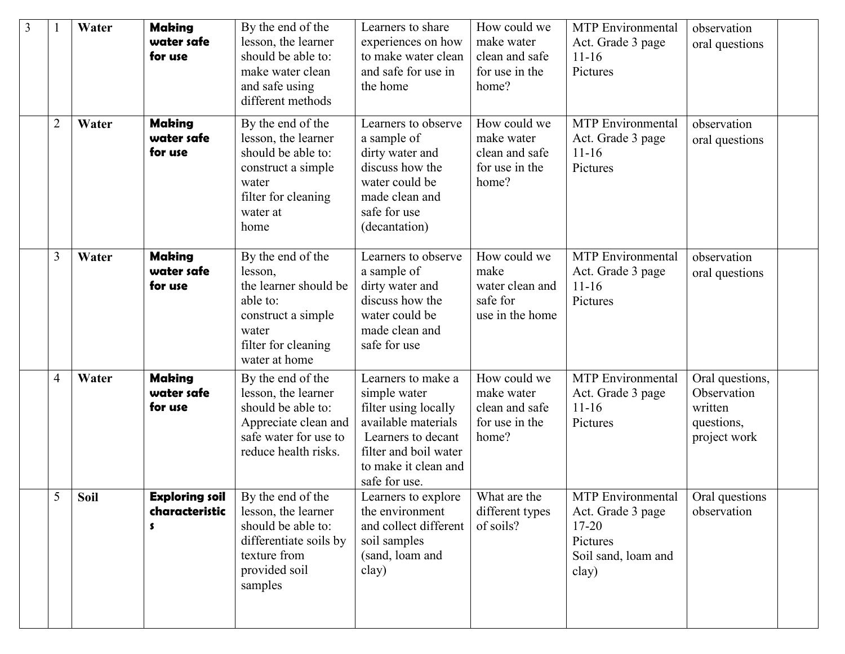| 3 |                | Water | <b>Making</b><br>water safe<br>for use       | By the end of the<br>lesson, the learner<br>should be able to:<br>make water clean<br>and safe using<br>different methods                | Learners to share<br>experiences on how<br>to make water clean<br>and safe for use in<br>the home                                                                         | How could we<br>make water<br>clean and safe<br>for use in the<br>home? | <b>MTP</b> Environmental<br>Act. Grade 3 page<br>$11 - 16$<br>Pictures                                                                                      | observation<br>oral questions                                           |
|---|----------------|-------|----------------------------------------------|------------------------------------------------------------------------------------------------------------------------------------------|---------------------------------------------------------------------------------------------------------------------------------------------------------------------------|-------------------------------------------------------------------------|-------------------------------------------------------------------------------------------------------------------------------------------------------------|-------------------------------------------------------------------------|
|   | $\overline{2}$ | Water | <b>Making</b><br>water safe<br>for use       | By the end of the<br>lesson, the learner<br>should be able to:<br>construct a simple<br>water<br>filter for cleaning<br>water at<br>home | Learners to observe<br>a sample of<br>dirty water and<br>discuss how the<br>water could be<br>made clean and<br>safe for use<br>(decantation)                             | How could we<br>make water<br>clean and safe<br>for use in the<br>home? | <b>MTP</b> Environmental<br>Act. Grade 3 page<br>$11 - 16$<br>Pictures                                                                                      | observation<br>oral questions                                           |
|   | 3              | Water | <b>Making</b><br>water safe<br>for use       | By the end of the<br>lesson,<br>the learner should be<br>able to:<br>construct a simple<br>water<br>filter for cleaning<br>water at home | Learners to observe<br>a sample of<br>dirty water and<br>discuss how the<br>water could be<br>made clean and<br>safe for use                                              | How could we<br>make<br>water clean and<br>safe for<br>use in the home  | <b>MTP</b> Environmental<br>Act. Grade 3 page<br>$11 - 16$<br>Pictures                                                                                      | observation<br>oral questions                                           |
|   | $\overline{4}$ | Water | <b>Making</b><br>water safe<br>for use       | By the end of the<br>lesson, the learner<br>should be able to:<br>Appreciate clean and<br>safe water for use to<br>reduce health risks.  | Learners to make a<br>simple water<br>filter using locally<br>available materials<br>Learners to decant<br>filter and boil water<br>to make it clean and<br>safe for use. | How could we<br>make water<br>clean and safe<br>for use in the<br>home? | <b>MTP</b> Environmental<br>Act. Grade 3 page<br>$11 - 16$<br>Pictures                                                                                      | Oral questions,<br>Observation<br>written<br>questions,<br>project work |
|   | 5              | Soil  | <b>Exploring soil</b><br>characteristic<br>s | By the end of the<br>lesson, the learner<br>should be able to:<br>differentiate soils by<br>texture from<br>provided soil<br>samples     | Learners to explore   What are the<br>the environment<br>and collect different<br>soil samples<br>(sand, loam and<br>clay)                                                | different types<br>of soils?                                            | $\overline{\text{MTP}}$ Environmental $\overline{\phantom{a}}$ Oral questions<br>Act. Grade 3 page<br>$17 - 20$<br>Pictures<br>Soil sand, loam and<br>clay) | observation                                                             |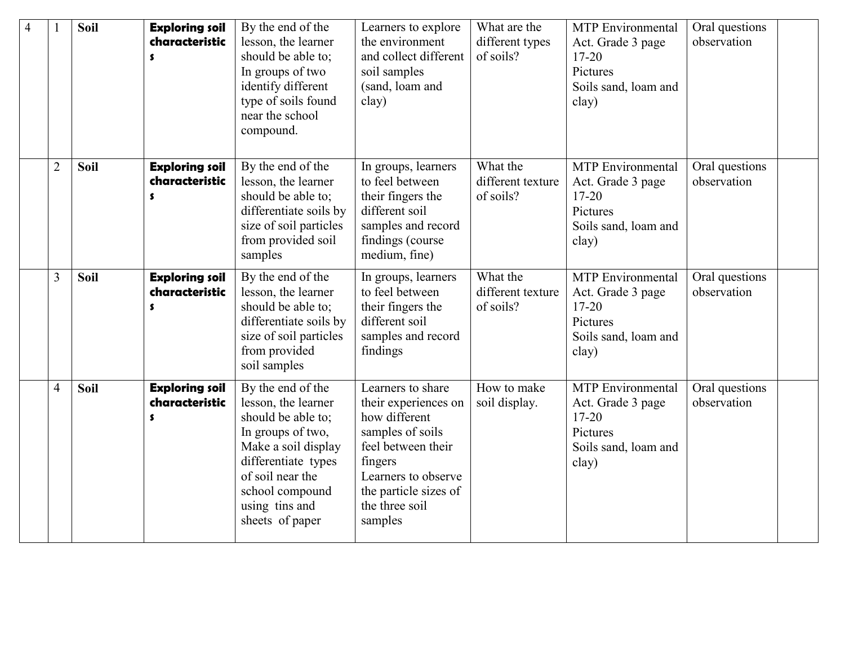| $\overline{4}$ |                | <b>Soil</b> | <b>Exploring soil</b><br>characteristic<br>s | By the end of the<br>lesson, the learner<br>should be able to;<br>In groups of two<br>identify different<br>type of soils found<br>near the school<br>compound.                                               | Learners to explore<br>the environment<br>and collect different<br>soil samples<br>(sand, loam and<br>clay)                                                                                  | What are the<br>different types<br>of soils? | <b>MTP</b> Environmental<br>Act. Grade 3 page<br>$17 - 20$<br>Pictures<br>Soils sand, loam and<br>clay) | Oral questions<br>observation |  |
|----------------|----------------|-------------|----------------------------------------------|---------------------------------------------------------------------------------------------------------------------------------------------------------------------------------------------------------------|----------------------------------------------------------------------------------------------------------------------------------------------------------------------------------------------|----------------------------------------------|---------------------------------------------------------------------------------------------------------|-------------------------------|--|
|                | $\overline{2}$ | <b>Soil</b> | <b>Exploring soil</b><br>characteristic<br>s | By the end of the<br>lesson, the learner<br>should be able to;<br>differentiate soils by<br>size of soil particles<br>from provided soil<br>samples                                                           | In groups, learners<br>to feel between<br>their fingers the<br>different soil<br>samples and record<br>findings (course<br>medium, fine)                                                     | What the<br>different texture<br>of soils?   | <b>MTP</b> Environmental<br>Act. Grade 3 page<br>$17 - 20$<br>Pictures<br>Soils sand, loam and<br>clay) | Oral questions<br>observation |  |
|                | 3              | <b>Soil</b> | <b>Exploring soil</b><br>characteristic<br>S | By the end of the<br>lesson, the learner<br>should be able to;<br>differentiate soils by<br>size of soil particles<br>from provided<br>soil samples                                                           | In groups, learners<br>to feel between<br>their fingers the<br>different soil<br>samples and record<br>findings                                                                              | What the<br>different texture<br>of soils?   | <b>MTP</b> Environmental<br>Act. Grade 3 page<br>$17 - 20$<br>Pictures<br>Soils sand, loam and<br>clay) | Oral questions<br>observation |  |
|                | $\overline{4}$ | Soil        | <b>Exploring soil</b><br>characteristic<br>s | By the end of the<br>lesson, the learner<br>should be able to;<br>In groups of two,<br>Make a soil display<br>differentiate types<br>of soil near the<br>school compound<br>using tins and<br>sheets of paper | Learners to share<br>their experiences on<br>how different<br>samples of soils<br>feel between their<br>fingers<br>Learners to observe<br>the particle sizes of<br>the three soil<br>samples | How to make<br>soil display.                 | <b>MTP</b> Environmental<br>Act. Grade 3 page<br>$17 - 20$<br>Pictures<br>Soils sand, loam and<br>clay) | Oral questions<br>observation |  |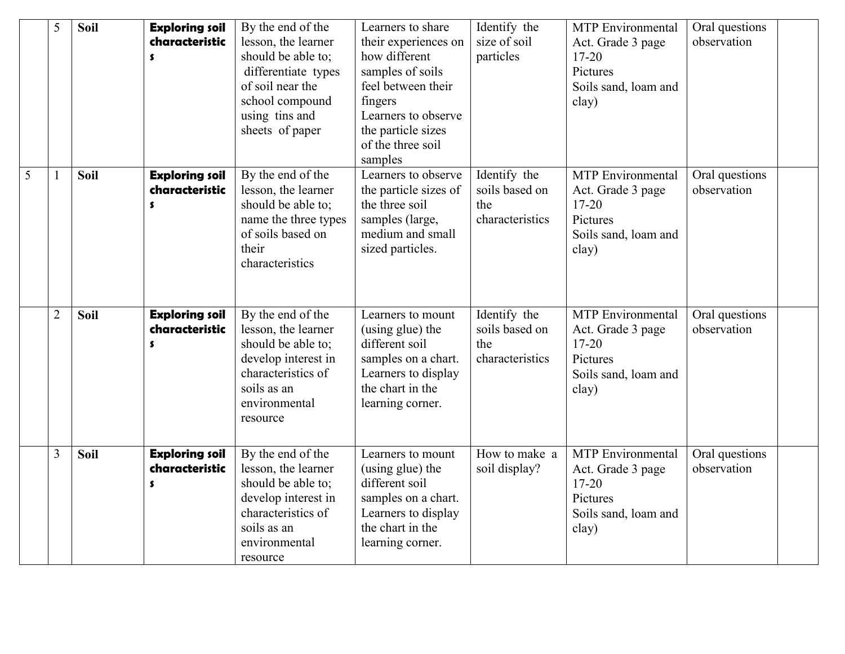|   | 5              | Soil        | <b>Exploring soil</b><br>characteristic<br>S                  | By the end of the<br>lesson, the learner<br>should be able to;<br>differentiate types<br>of soil near the<br>school compound<br>using tins and<br>sheets of paper | Learners to share<br>their experiences on<br>how different<br>samples of soils<br>feel between their<br>fingers<br>Learners to observe<br>the particle sizes<br>of the three soil<br>samples | Identify the<br>size of soil<br>particles                | <b>MTP</b> Environmental<br>Act. Grade 3 page<br>$17 - 20$<br>Pictures<br>Soils sand, loam and<br>clay) | Oral questions<br>observation |
|---|----------------|-------------|---------------------------------------------------------------|-------------------------------------------------------------------------------------------------------------------------------------------------------------------|----------------------------------------------------------------------------------------------------------------------------------------------------------------------------------------------|----------------------------------------------------------|---------------------------------------------------------------------------------------------------------|-------------------------------|
| 5 |                | Soil        | <b>Exploring soil</b><br>characteristic<br>$\pmb{\mathsf{s}}$ | By the end of the<br>lesson, the learner<br>should be able to;<br>name the three types<br>of soils based on<br>their<br>characteristics                           | Learners to observe<br>the particle sizes of<br>the three soil<br>samples (large,<br>medium and small<br>sized particles.                                                                    | Identify the<br>soils based on<br>the<br>characteristics | <b>MTP</b> Environmental<br>Act. Grade 3 page<br>$17 - 20$<br>Pictures<br>Soils sand, loam and<br>clay) | Oral questions<br>observation |
|   | $\overline{2}$ | <b>Soil</b> | <b>Exploring soil</b><br>characteristic<br>s                  | By the end of the<br>lesson, the learner<br>should be able to;<br>develop interest in<br>characteristics of<br>soils as an<br>environmental<br>resource           | Learners to mount<br>(using glue) the<br>different soil<br>samples on a chart.<br>Learners to display<br>the chart in the<br>learning corner.                                                | Identify the<br>soils based on<br>the<br>characteristics | <b>MTP</b> Environmental<br>Act. Grade 3 page<br>$17 - 20$<br>Pictures<br>Soils sand, loam and<br>clay) | Oral questions<br>observation |
|   | 3              | Soil        | <b>Exploring soil</b><br>characteristic<br>\$                 | By the end of the<br>lesson, the learner<br>should be able to;<br>develop interest in<br>characteristics of<br>soils as an<br>environmental<br>resource           | Learners to mount<br>(using glue) the<br>different soil<br>samples on a chart.<br>Learners to display<br>the chart in the<br>learning corner.                                                | How to make a<br>soil display?                           | <b>MTP</b> Environmental<br>Act. Grade 3 page<br>$17 - 20$<br>Pictures<br>Soils sand, loam and<br>clay) | Oral questions<br>observation |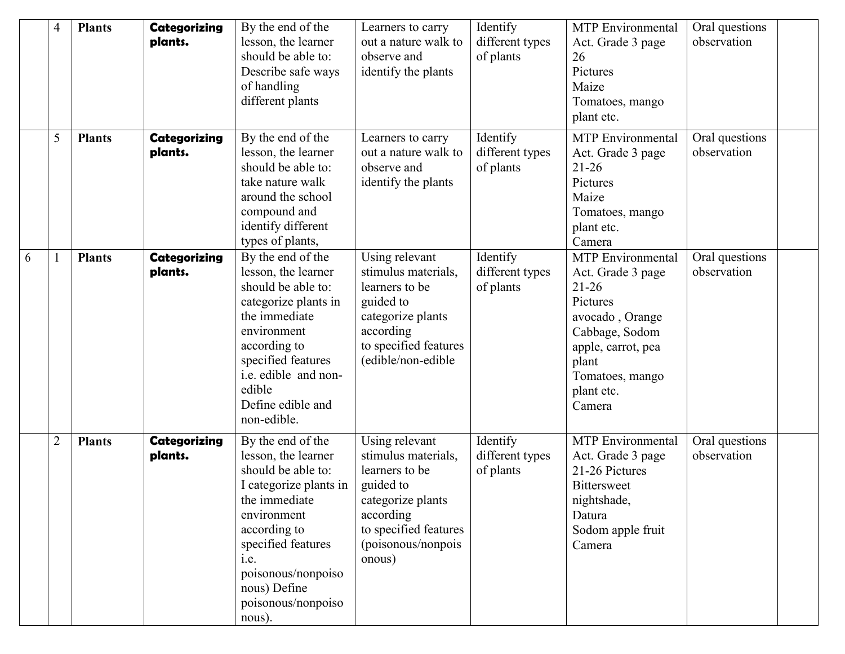|   | 4              | <b>Plants</b> | <b>Categorizing</b><br>plants. | By the end of the<br>lesson, the learner<br>should be able to:<br>Describe safe ways<br>of handling<br>different plants                                                                                                                      | Learners to carry<br>out a nature walk to<br>observe and<br>identify the plants                                                                                 | Identify<br>different types<br>of plants | <b>MTP</b> Environmental<br>Act. Grade 3 page<br>26<br>Pictures<br>Maize<br>Tomatoes, mango<br>plant etc.                                                                             | Oral questions<br>observation |  |
|---|----------------|---------------|--------------------------------|----------------------------------------------------------------------------------------------------------------------------------------------------------------------------------------------------------------------------------------------|-----------------------------------------------------------------------------------------------------------------------------------------------------------------|------------------------------------------|---------------------------------------------------------------------------------------------------------------------------------------------------------------------------------------|-------------------------------|--|
|   | 5              | <b>Plants</b> | <b>Categorizing</b><br>plants. | By the end of the<br>lesson, the learner<br>should be able to:<br>take nature walk<br>around the school<br>compound and<br>identify different<br>types of plants,                                                                            | Learners to carry<br>out a nature walk to<br>observe and<br>identify the plants                                                                                 | Identify<br>different types<br>of plants | <b>MTP</b> Environmental<br>Act. Grade 3 page<br>$21 - 26$<br>Pictures<br>Maize<br>Tomatoes, mango<br>plant etc.<br>Camera                                                            | Oral questions<br>observation |  |
| 6 |                | <b>Plants</b> | <b>Categorizing</b><br>plants. | By the end of the<br>lesson, the learner<br>should be able to:<br>categorize plants in<br>the immediate<br>environment<br>according to<br>specified features<br>i.e. edible and non-<br>edible<br>Define edible and<br>non-edible.           | Using relevant<br>stimulus materials,<br>learners to be<br>guided to<br>categorize plants<br>according<br>to specified features<br>(edible/non-edible           | Identify<br>different types<br>of plants | <b>MTP</b> Environmental<br>Act. Grade 3 page<br>$21 - 26$<br>Pictures<br>avocado, Orange<br>Cabbage, Sodom<br>apple, carrot, pea<br>plant<br>Tomatoes, mango<br>plant etc.<br>Camera | Oral questions<br>observation |  |
|   | $\overline{2}$ | <b>Plants</b> | <b>Categorizing</b><br>plants. | By the end of the<br>lesson, the learner<br>should be able to:<br>I categorize plants in<br>the immediate<br>environment<br>according to<br>specified features<br>i.e.<br>poisonous/nonpoiso<br>nous) Define<br>poisonous/nonpoiso<br>nous). | Using relevant<br>stimulus materials,<br>learners to be<br>guided to<br>categorize plants<br>according<br>to specified features<br>(poisonous/nonpois<br>onous) | Identify<br>different types<br>of plants | <b>MTP</b> Environmental<br>Act. Grade 3 page<br>21-26 Pictures<br><b>Bittersweet</b><br>nightshade,<br>Datura<br>Sodom apple fruit<br>Camera                                         | Oral questions<br>observation |  |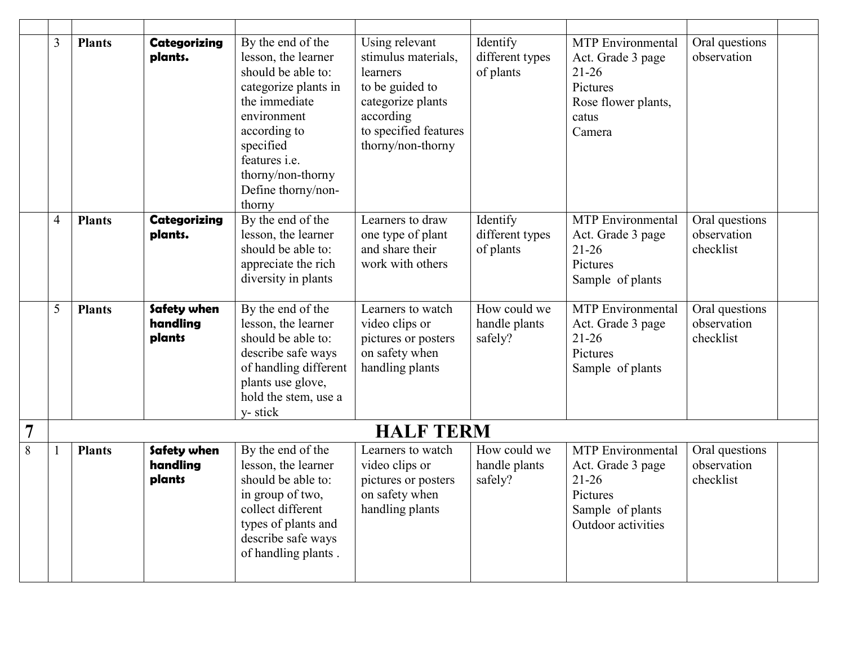|                | 3              | <b>Plants</b> | <b>Categorizing</b><br>plants.    | By the end of the<br>lesson, the learner<br>should be able to:<br>categorize plants in<br>the immediate<br>environment<br>according to<br>specified<br>features <i>i.e.</i><br>thorny/non-thorny<br>Define thorny/non-<br>thorny | Using relevant<br>stimulus materials,<br>learners<br>to be guided to<br>categorize plants<br>according<br>to specified features<br>thorny/non-thorny | Identify<br>different types<br>of plants | <b>MTP</b> Environmental<br>Act. Grade 3 page<br>$21 - 26$<br>Pictures<br>Rose flower plants,<br>catus<br>Camera | Oral questions<br>observation              |
|----------------|----------------|---------------|-----------------------------------|----------------------------------------------------------------------------------------------------------------------------------------------------------------------------------------------------------------------------------|------------------------------------------------------------------------------------------------------------------------------------------------------|------------------------------------------|------------------------------------------------------------------------------------------------------------------|--------------------------------------------|
|                | $\overline{4}$ | <b>Plants</b> | <b>Categorizing</b><br>plants.    | By the end of the<br>lesson, the learner<br>should be able to:<br>appreciate the rich<br>diversity in plants                                                                                                                     | Learners to draw<br>one type of plant<br>and share their<br>work with others                                                                         | Identify<br>different types<br>of plants | <b>MTP</b> Environmental<br>Act. Grade 3 page<br>$21 - 26$<br>Pictures<br>Sample of plants                       | Oral questions<br>observation<br>checklist |
|                | 5              | <b>Plants</b> | Safety when<br>handling<br>plants | By the end of the<br>lesson, the learner<br>should be able to:<br>describe safe ways<br>of handling different<br>plants use glove,<br>hold the stem, use a<br>y-stick                                                            | Learners to watch<br>video clips or<br>pictures or posters<br>on safety when<br>handling plants                                                      | How could we<br>handle plants<br>safely? | <b>MTP</b> Environmental<br>Act. Grade 3 page<br>$21 - 26$<br>Pictures<br>Sample of plants                       | Oral questions<br>observation<br>checklist |
| $\overline{7}$ |                |               |                                   |                                                                                                                                                                                                                                  | <b>HALF TERM</b>                                                                                                                                     |                                          |                                                                                                                  |                                            |
| 8              |                | <b>Plants</b> | Safety when<br>handling<br>plants | By the end of the<br>lesson, the learner<br>should be able to:<br>in group of two,<br>collect different<br>types of plants and<br>describe safe ways<br>of handling plants.                                                      | Learners to watch<br>video clips or<br>pictures or posters<br>on safety when<br>handling plants                                                      | How could we<br>handle plants<br>safely? | <b>MTP</b> Environmental<br>Act. Grade 3 page<br>$21 - 26$<br>Pictures<br>Sample of plants<br>Outdoor activities | Oral questions<br>observation<br>checklist |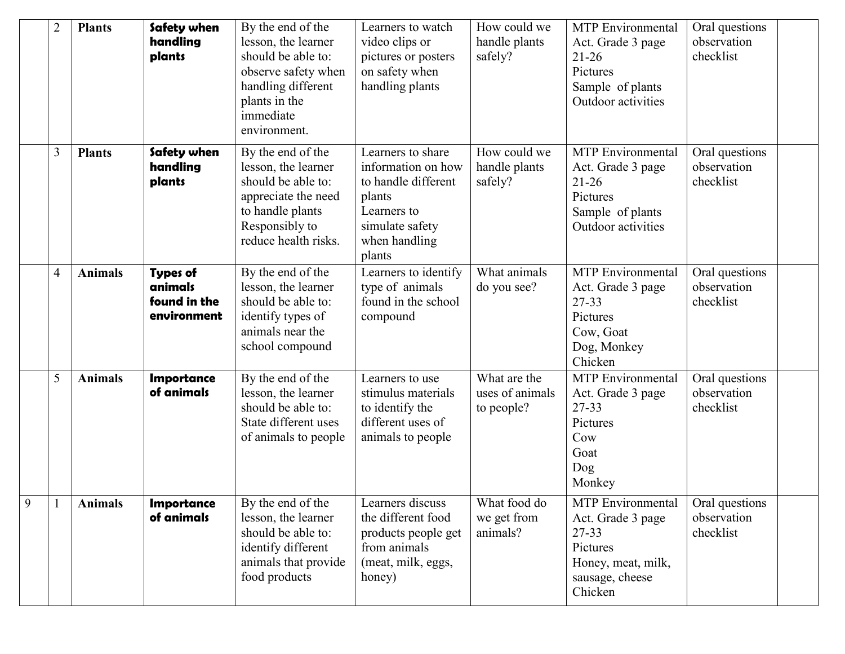|   | $\overline{2}$ | <b>Plants</b>  | Safety when<br>handling<br>plants                         | By the end of the<br>lesson, the learner<br>should be able to:<br>observe safety when<br>handling different<br>plants in the<br>immediate<br>environment. | Learners to watch<br>video clips or<br>pictures or posters<br>on safety when<br>handling plants                                       | How could we<br>handle plants<br>safely?      | <b>MTP</b> Environmental<br>Act. Grade 3 page<br>$21 - 26$<br>Pictures<br>Sample of plants<br>Outdoor activities           | Oral questions<br>observation<br>checklist |
|---|----------------|----------------|-----------------------------------------------------------|-----------------------------------------------------------------------------------------------------------------------------------------------------------|---------------------------------------------------------------------------------------------------------------------------------------|-----------------------------------------------|----------------------------------------------------------------------------------------------------------------------------|--------------------------------------------|
|   | 3              | <b>Plants</b>  | Safety when<br>handling<br>plants                         | By the end of the<br>lesson, the learner<br>should be able to:<br>appreciate the need<br>to handle plants<br>Responsibly to<br>reduce health risks.       | Learners to share<br>information on how<br>to handle different<br>plants<br>Learners to<br>simulate safety<br>when handling<br>plants | How could we<br>handle plants<br>safely?      | <b>MTP</b> Environmental<br>Act. Grade 3 page<br>$21 - 26$<br>Pictures<br>Sample of plants<br>Outdoor activities           | Oral questions<br>observation<br>checklist |
|   | $\overline{4}$ | <b>Animals</b> | <b>Types of</b><br>animals<br>found in the<br>environment | By the end of the<br>lesson, the learner<br>should be able to:<br>identify types of<br>animals near the<br>school compound                                | Learners to identify<br>type of animals<br>found in the school<br>compound                                                            | What animals<br>do you see?                   | <b>MTP</b> Environmental<br>Act. Grade 3 page<br>27-33<br>Pictures<br>Cow, Goat<br>Dog, Monkey<br>Chicken                  | Oral questions<br>observation<br>checklist |
|   | 5              | <b>Animals</b> | <b>Importance</b><br>of animals                           | By the end of the<br>lesson, the learner<br>should be able to:<br>State different uses<br>of animals to people                                            | Learners to use<br>stimulus materials<br>to identify the<br>different uses of<br>animals to people                                    | What are the<br>uses of animals<br>to people? | MTP Environmental<br>Act. Grade 3 page<br>27-33<br>Pictures<br>Cow<br>Goat<br>Dog<br>Monkey                                | Oral questions<br>observation<br>checklist |
| 9 |                | <b>Animals</b> | <b>Importance</b><br>of animals                           | By the end of the<br>lesson, the learner<br>should be able to:<br>identify different<br>animals that provide<br>food products                             | Learners discuss<br>the different food<br>products people get<br>from animals<br>(meat, milk, eggs,<br>honey)                         | What food do<br>we get from<br>animals?       | <b>MTP</b> Environmental<br>Act. Grade 3 page<br>$27 - 33$<br>Pictures<br>Honey, meat, milk,<br>sausage, cheese<br>Chicken | Oral questions<br>observation<br>checklist |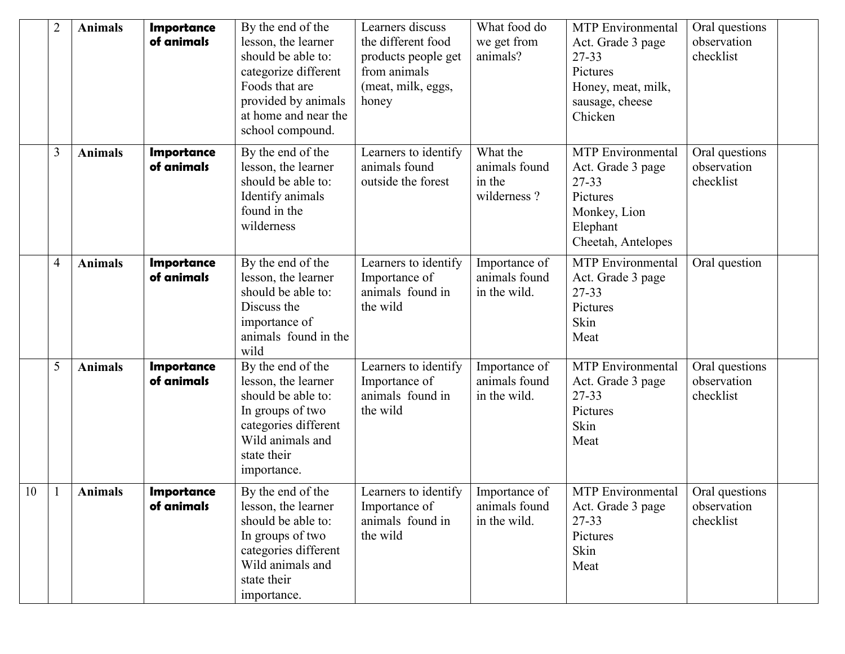|    | $\overline{2}$ | <b>Animals</b> | <b>Importance</b><br>of animals | By the end of the<br>lesson, the learner<br>should be able to:<br>categorize different<br>Foods that are<br>provided by animals<br>at home and near the<br>school compound. | Learners discuss<br>the different food<br>products people get<br>from animals<br>(meat, milk, eggs,<br>honey | What food do<br>we get from<br>animals?            | <b>MTP</b> Environmental<br>Act. Grade 3 page<br>27-33<br>Pictures<br>Honey, meat, milk,<br>sausage, cheese<br>Chicken | Oral questions<br>observation<br>checklist |  |
|----|----------------|----------------|---------------------------------|-----------------------------------------------------------------------------------------------------------------------------------------------------------------------------|--------------------------------------------------------------------------------------------------------------|----------------------------------------------------|------------------------------------------------------------------------------------------------------------------------|--------------------------------------------|--|
|    | 3              | <b>Animals</b> | <b>Importance</b><br>of animals | By the end of the<br>lesson, the learner<br>should be able to:<br>Identify animals<br>found in the<br>wilderness                                                            | Learners to identify<br>animals found<br>outside the forest                                                  | What the<br>animals found<br>in the<br>wilderness? | <b>MTP</b> Environmental<br>Act. Grade 3 page<br>27-33<br>Pictures<br>Monkey, Lion<br>Elephant<br>Cheetah, Antelopes   | Oral questions<br>observation<br>checklist |  |
|    | 4              | <b>Animals</b> | <b>Importance</b><br>of animals | By the end of the<br>lesson, the learner<br>should be able to:<br>Discuss the<br>importance of<br>animals found in the<br>wild                                              | Learners to identify<br>Importance of<br>animals found in<br>the wild                                        | Importance of<br>animals found<br>in the wild.     | <b>MTP</b> Environmental<br>Act. Grade 3 page<br>27-33<br>Pictures<br>Skin<br>Meat                                     | Oral question                              |  |
|    | 5              | <b>Animals</b> | <b>Importance</b><br>of animals | By the end of the<br>lesson, the learner<br>should be able to:<br>In groups of two<br>categories different<br>Wild animals and<br>state their<br>importance.                | Learners to identify<br>Importance of<br>animals found in<br>the wild                                        | Importance of<br>animals found<br>in the wild.     | <b>MTP</b> Environmental<br>Act. Grade 3 page<br>27-33<br>Pictures<br>Skin<br>Meat                                     | Oral questions<br>observation<br>checklist |  |
| 10 | -1             | <b>Animals</b> | <b>Importance</b><br>of animals | By the end of the<br>lesson, the learner<br>should be able to:<br>In groups of two<br>categories different<br>Wild animals and<br>state their<br>importance.                | Learners to identify<br>Importance of<br>animals found in<br>the wild                                        | Importance of<br>animals found<br>in the wild.     | <b>MTP</b> Environmental<br>Act. Grade 3 page<br>$27 - 33$<br>Pictures<br>Skin<br>Meat                                 | Oral questions<br>observation<br>checklist |  |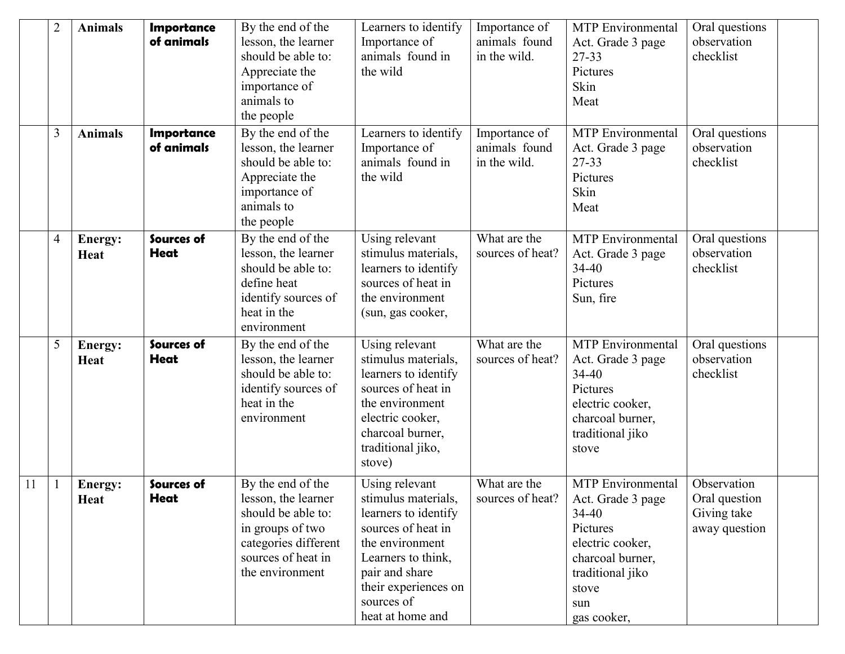|    | $\overline{2}$ | <b>Animals</b>                | <b>Importance</b><br>of animals | By the end of the<br>lesson, the learner<br>should be able to:<br>Appreciate the<br>importance of<br>animals to<br>the people                       | Learners to identify<br>Importance of<br>animals found in<br>the wild                                                                                                                                    | Importance of<br>animals found<br>in the wild. | <b>MTP</b> Environmental<br>Act. Grade 3 page<br>27-33<br>Pictures<br>Skin<br>Meat                                                                                | Oral questions<br>observation<br>checklist                   |  |
|----|----------------|-------------------------------|---------------------------------|-----------------------------------------------------------------------------------------------------------------------------------------------------|----------------------------------------------------------------------------------------------------------------------------------------------------------------------------------------------------------|------------------------------------------------|-------------------------------------------------------------------------------------------------------------------------------------------------------------------|--------------------------------------------------------------|--|
|    | 3              | <b>Animals</b>                | <b>Importance</b><br>of animals | By the end of the<br>lesson, the learner<br>should be able to:<br>Appreciate the<br>importance of<br>animals to<br>the people                       | Learners to identify<br>Importance of<br>animals found in<br>the wild                                                                                                                                    | Importance of<br>animals found<br>in the wild. | <b>MTP</b> Environmental<br>Act. Grade 3 page<br>27-33<br>Pictures<br>Skin<br>Meat                                                                                | Oral questions<br>observation<br>checklist                   |  |
|    | $\overline{4}$ | <b>Energy:</b><br><b>Heat</b> | Sources of<br><b>Heat</b>       | By the end of the<br>lesson, the learner<br>should be able to:<br>define heat<br>identify sources of<br>heat in the<br>environment                  | Using relevant<br>stimulus materials,<br>learners to identify<br>sources of heat in<br>the environment<br>(sun, gas cooker,                                                                              | What are the<br>sources of heat?               | <b>MTP</b> Environmental<br>Act. Grade 3 page<br>$34 - 40$<br>Pictures<br>Sun, fire                                                                               | Oral questions<br>observation<br>checklist                   |  |
|    | 5              | Energy:<br>Heat               | Sources of<br><b>Heat</b>       | By the end of the<br>lesson, the learner<br>should be able to:<br>identify sources of<br>heat in the<br>environment                                 | Using relevant<br>stimulus materials,<br>learners to identify<br>sources of heat in<br>the environment<br>electric cooker,<br>charcoal burner,<br>traditional jiko,<br>stove)                            | What are the<br>sources of heat?               | <b>MTP</b> Environmental<br>Act. Grade 3 page<br>$34 - 40$<br>Pictures<br>electric cooker,<br>charcoal burner,<br>traditional jiko<br>stove                       | Oral questions<br>observation<br>checklist                   |  |
| 11 |                | <b>Energy:</b><br><b>Heat</b> | Sources of<br><b>Heat</b>       | By the end of the<br>lesson, the learner<br>should be able to:<br>in groups of two<br>categories different<br>sources of heat in<br>the environment | Using relevant<br>stimulus materials,<br>learners to identify<br>sources of heat in<br>the environment<br>Learners to think,<br>pair and share<br>their experiences on<br>sources of<br>heat at home and | What are the<br>sources of heat?               | <b>MTP</b> Environmental<br>Act. Grade 3 page<br>$34 - 40$<br>Pictures<br>electric cooker,<br>charcoal burner,<br>traditional jiko<br>stove<br>sun<br>gas cooker, | Observation<br>Oral question<br>Giving take<br>away question |  |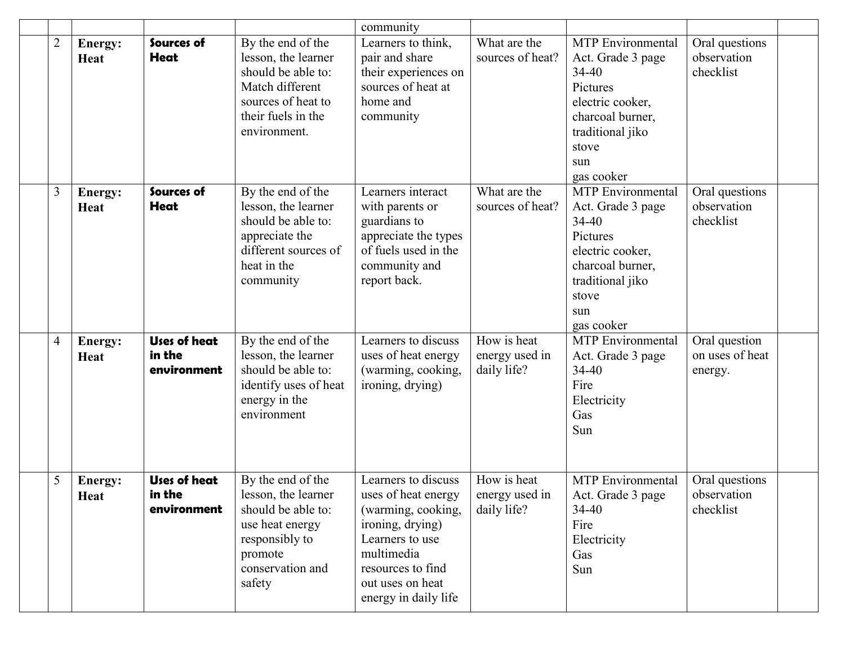|                |                        |                                              |                                                                                                                                               | community                                                                                                                                                                              |                                              |                                                                                                                                                                  |                                             |  |
|----------------|------------------------|----------------------------------------------|-----------------------------------------------------------------------------------------------------------------------------------------------|----------------------------------------------------------------------------------------------------------------------------------------------------------------------------------------|----------------------------------------------|------------------------------------------------------------------------------------------------------------------------------------------------------------------|---------------------------------------------|--|
| $\overline{2}$ | Energy:<br><b>Heat</b> | Sources of<br><b>Heat</b>                    | By the end of the<br>lesson, the learner<br>should be able to:<br>Match different<br>sources of heat to<br>their fuels in the<br>environment. | Learners to think,<br>pair and share<br>their experiences on<br>sources of heat at<br>home and<br>community                                                                            | What are the<br>sources of heat?             | <b>MTP</b> Environmental<br>Act. Grade 3 page<br>$34 - 40$<br>Pictures<br>electric cooker,<br>charcoal burner,<br>traditional jiko<br>stove<br>sun<br>gas cooker | Oral questions<br>observation<br>checklist  |  |
| 3              | Energy:<br>Heat        | Sources of<br>Heat                           | By the end of the<br>lesson, the learner<br>should be able to:<br>appreciate the<br>different sources of<br>heat in the<br>community          | Learners interact<br>with parents or<br>guardians to<br>appreciate the types<br>of fuels used in the<br>community and<br>report back.                                                  | What are the<br>sources of heat?             | <b>MTP</b> Environmental<br>Act. Grade 3 page<br>$34 - 40$<br>Pictures<br>electric cooker,<br>charcoal burner,<br>traditional jiko<br>stove<br>sun<br>gas cooker | Oral questions<br>observation<br>checklist  |  |
| 4              | Energy:<br>Heat        | <b>Uses of heat</b><br>in the<br>environment | By the end of the<br>lesson, the learner<br>should be able to:<br>identify uses of heat<br>energy in the<br>environment                       | Learners to discuss<br>uses of heat energy<br>(warming, cooking,<br>ironing, drying)                                                                                                   | How is heat<br>energy used in<br>daily life? | MTP Environmental<br>Act. Grade 3 page<br>$34 - 40$<br>Fire<br>Electricity<br>Gas<br>Sun                                                                         | Oral question<br>on uses of heat<br>energy. |  |
| 5              | Energy:<br><b>Heat</b> | <b>Uses of heat</b><br>in the<br>environment | By the end of the<br>lesson, the learner<br>should be able to:<br>use heat energy<br>responsibly to<br>promote<br>conservation and<br>safety  | Learners to discuss<br>uses of heat energy<br>(warming, cooking,<br>ironing, drying)<br>Learners to use<br>multimedia<br>resources to find<br>out uses on heat<br>energy in daily life | How is heat<br>energy used in<br>daily life? | <b>MTP</b> Environmental<br>Act. Grade 3 page<br>$34 - 40$<br>Fire<br>Electricity<br>Gas<br>Sun                                                                  | Oral questions<br>observation<br>checklist  |  |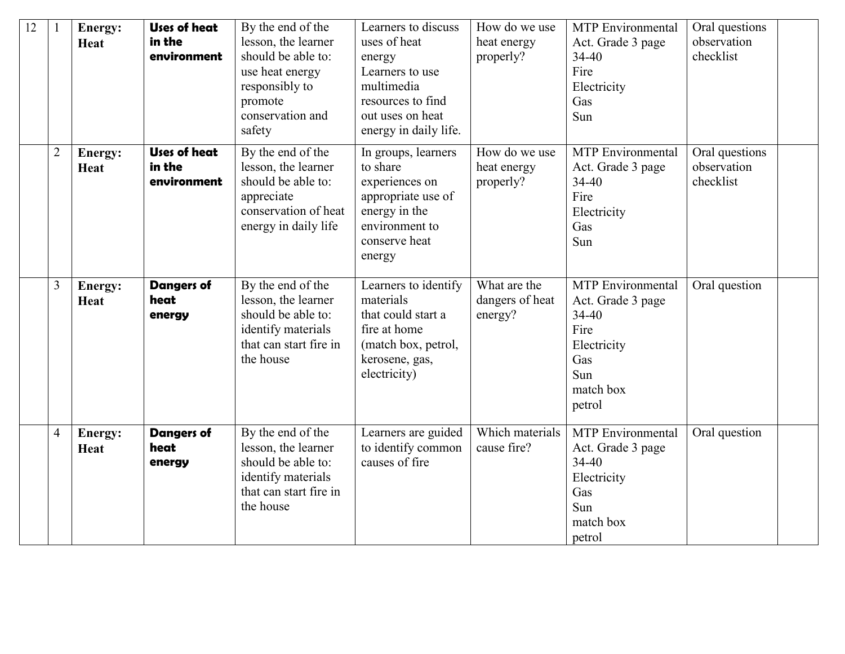| 12 |                | <b>Energy:</b><br>Heat | <b>Uses of heat</b><br>in the<br>environment | By the end of the<br>lesson, the learner<br>should be able to:<br>use heat energy<br>responsibly to<br>promote<br>conservation and<br>safety | Learners to discuss<br>uses of heat<br>energy<br>Learners to use<br>multimedia<br>resources to find<br>out uses on heat<br>energy in daily life. | How do we use<br>heat energy<br>properly?  | <b>MTP</b> Environmental<br>Act. Grade 3 page<br>$34 - 40$<br>Fire<br>Electricity<br>Gas<br>Sun                        | Oral questions<br>observation<br>checklist |  |
|----|----------------|------------------------|----------------------------------------------|----------------------------------------------------------------------------------------------------------------------------------------------|--------------------------------------------------------------------------------------------------------------------------------------------------|--------------------------------------------|------------------------------------------------------------------------------------------------------------------------|--------------------------------------------|--|
|    | $\overline{2}$ | Energy:<br>Heat        | <b>Uses of heat</b><br>in the<br>environment | By the end of the<br>lesson, the learner<br>should be able to:<br>appreciate<br>conservation of heat<br>energy in daily life                 | In groups, learners<br>to share<br>experiences on<br>appropriate use of<br>energy in the<br>environment to<br>conserve heat<br>energy            | How do we use<br>heat energy<br>properly?  | <b>MTP</b> Environmental<br>Act. Grade 3 page<br>34-40<br>Fire<br>Electricity<br>Gas<br>Sun                            | Oral questions<br>observation<br>checklist |  |
|    | 3              | <b>Energy:</b><br>Heat | <b>Dangers of</b><br>heat<br>energy          | By the end of the<br>lesson, the learner<br>should be able to:<br>identify materials<br>that can start fire in<br>the house                  | Learners to identify<br>materials<br>that could start a<br>fire at home<br>(match box, petrol,<br>kerosene, gas,<br>electricity)                 | What are the<br>dangers of heat<br>energy? | <b>MTP</b> Environmental<br>Act. Grade 3 page<br>$34 - 40$<br>Fire<br>Electricity<br>Gas<br>Sun<br>match box<br>petrol | Oral question                              |  |
|    | $\overline{4}$ | Energy:<br>Heat        | <b>Dangers of</b><br>heat<br>energy          | By the end of the<br>lesson, the learner<br>should be able to:<br>identify materials<br>that can start fire in<br>the house                  | Learners are guided<br>to identify common<br>causes of fire                                                                                      | Which materials<br>cause fire?             | <b>MTP</b> Environmental<br>Act. Grade 3 page<br>$34 - 40$<br>Electricity<br>Gas<br>Sun<br>match box<br>petrol         | Oral question                              |  |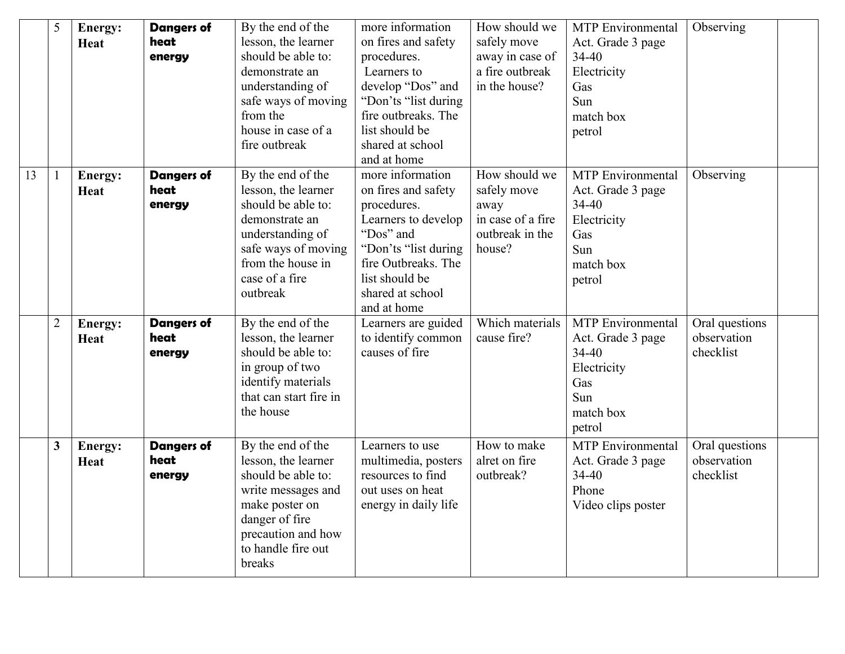|    | 5              | Energy:<br>Heat        | <b>Dangers of</b><br>heat<br>energy | By the end of the<br>lesson, the learner<br>should be able to:<br>demonstrate an<br>understanding of<br>safe ways of moving<br>from the<br>house in case of a<br>fire outbreak | more information<br>on fires and safety<br>procedures.<br>Learners to<br>develop "Dos" and<br>"Don'ts "list during<br>fire outbreaks. The<br>list should be<br>shared at school<br>and at home | How should we<br>safely move<br>away in case of<br>a fire outbreak<br>in the house?    | <b>MTP</b> Environmental<br>Act. Grade 3 page<br>$34 - 40$<br>Electricity<br>Gas<br>Sun<br>match box<br>petrol | Observing                                  |  |
|----|----------------|------------------------|-------------------------------------|--------------------------------------------------------------------------------------------------------------------------------------------------------------------------------|------------------------------------------------------------------------------------------------------------------------------------------------------------------------------------------------|----------------------------------------------------------------------------------------|----------------------------------------------------------------------------------------------------------------|--------------------------------------------|--|
| 13 | ı              | Energy:<br>Heat        | <b>Dangers of</b><br>heat<br>energy | By the end of the<br>lesson, the learner<br>should be able to:<br>demonstrate an<br>understanding of<br>safe ways of moving<br>from the house in<br>case of a fire<br>outbreak | more information<br>on fires and safety<br>procedures.<br>Learners to develop<br>"Dos" and<br>"Don'ts "list during<br>fire Outbreaks. The<br>list should be<br>shared at school<br>and at home | How should we<br>safely move<br>away<br>in case of a fire<br>outbreak in the<br>house? | <b>MTP</b> Environmental<br>Act. Grade 3 page<br>34-40<br>Electricity<br>Gas<br>Sun<br>match box<br>petrol     | Observing                                  |  |
|    | $\overline{2}$ | Energy:<br>Heat        | <b>Dangers of</b><br>heat<br>energy | By the end of the<br>lesson, the learner<br>should be able to:<br>in group of two<br>identify materials<br>that can start fire in<br>the house                                 | Learners are guided<br>to identify common<br>causes of fire                                                                                                                                    | Which materials<br>cause fire?                                                         | <b>MTP</b> Environmental<br>Act. Grade 3 page<br>34-40<br>Electricity<br>Gas<br>Sun<br>match box<br>petrol     | Oral questions<br>observation<br>checklist |  |
|    | 3              | <b>Energy:</b><br>Heat | <b>Dangers of</b><br>heat<br>energy | By the end of the<br>lesson, the learner<br>should be able to:<br>write messages and<br>make poster on<br>danger of fire<br>precaution and how<br>to handle fire out<br>breaks | Learners to use<br>multimedia, posters<br>resources to find<br>out uses on heat<br>energy in daily life                                                                                        | How to make<br>alret on fire<br>outbreak?                                              | <b>MTP</b> Environmental<br>Act. Grade 3 page<br>$34 - 40$<br>Phone<br>Video clips poster                      | Oral questions<br>observation<br>checklist |  |